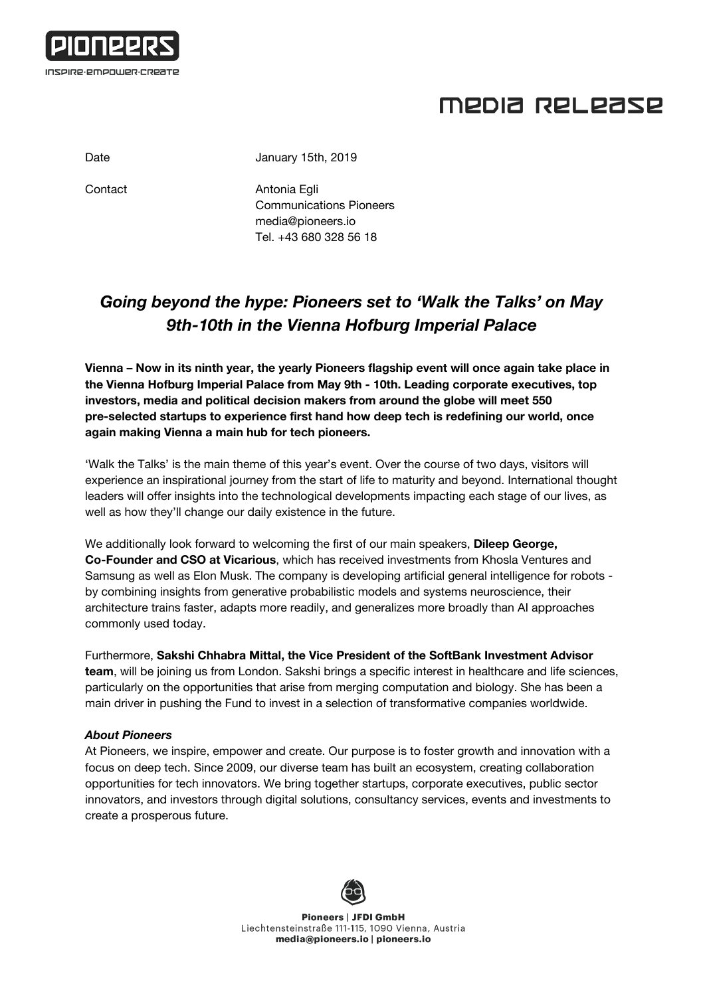

## MEDIA RELEASE

Date January 15th, 2019

Contact **Antonia Egli** Communications Pioneers [media@pioneers.io](mailto:media@pioneers.io) Tel. +43 680 328 56 18

## *Going beyond the hype: Pioneers set to 'Walk the Talks' on May 9th-10th in the Vienna Hofburg Imperial Palace*

**Vienna – Now in its ninth year, the yearly Pioneers flagship event will once again take place in the Vienna Hofburg Imperial Palace from May 9th - 10th. Leading corporate executives, top investors, media and political decision makers from around the globe will meet 550 pre-selected startups to experience first hand how deep tech is redefining our world, once again making Vienna a main hub for tech pioneers.**

'Walk the Talks' is the main theme of this year's event. Over the course of two days, visitors will experience an inspirational journey from the start of life to maturity and beyond. International thought leaders will offer insights into the technological developments impacting each stage of our lives, as well as how they'll change our daily existence in the future.

We additionally look forward to welcoming the first of our main speakers, **Dileep George, Co-Founder and CSO at Vicarious**, which has received investments from Khosla Ventures and Samsung as well as Elon Musk. The company is developing artificial general intelligence for robots by combining insights from generative probabilistic models and systems neuroscience, their architecture trains faster, adapts more readily, and generalizes more broadly than AI approaches commonly used today.

Furthermore, **Sakshi Chhabra Mittal, the Vice President of the SoftBank Investment Advisor team**, will be joining us from London. Sakshi brings a specific interest in healthcare and life sciences, particularly on the opportunities that arise from merging computation and biology. She has been a main driver in pushing the Fund to invest in a selection of transformative companies worldwide.

## *About Pioneers*

At Pioneers, we inspire, empower and create. Our purpose is to foster growth and innovation with a focus on deep tech. Since 2009, our diverse team has built an ecosystem, creating collaboration opportunities for tech innovators. We bring together startups, corporate executives, public sector innovators, and investors through digital solutions, consultancy services, events and investments to create a prosperous future.



**Pioneers | JFDI GmbH** Liechtensteinstraße 111-115, 1090 Vienna, Austria media@pioneers.io | pioneers.io